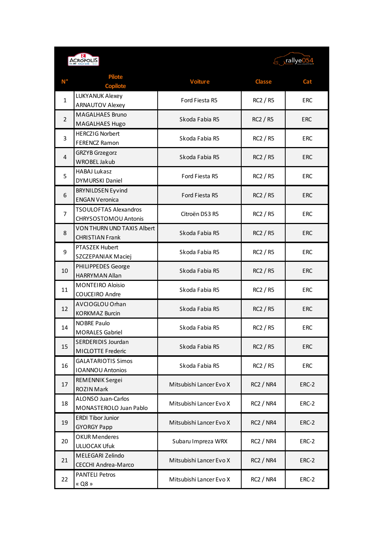| <b>ACROPOLIS</b>       |                                                      |                         | rallye054 (و                |                          |
|------------------------|------------------------------------------------------|-------------------------|-----------------------------|--------------------------|
| $\mathbf{N}^{\bullet}$ | <b>Pilote</b>                                        | <b>Voiture</b>          | <b>Classe</b>               | Cat                      |
|                        | <b>Copilote</b>                                      |                         |                             |                          |
| $\mathbf{1}$           | LUKYANUK Alexey<br><b>ARNAUTOV Alexey</b>            | Ford Fiesta R5          | RC2 / R5                    | <b>ERC</b>               |
|                        |                                                      |                         |                             |                          |
| $\overline{2}$         | <b>MAGALHAES Bruno</b><br>MAGALHAES Hugo             | Skoda Fabia R5          | <b>RC2 / R5</b>             | <b>ERC</b>               |
|                        | <b>HERCZIG Norbert</b>                               |                         | RC2 / R5                    | <b>ERC</b>               |
| 3                      | <b>FERENCZ Ramon</b>                                 | Skoda Fabia R5          |                             |                          |
| $\overline{4}$         | <b>GRZYB</b> Grzegorz                                |                         |                             |                          |
|                        | WROBEL Jakub                                         | Skoda Fabia R5          | <b>RC2 / R5</b>             | <b>ERC</b>               |
| 5                      | <b>HABAJ Lukasz</b>                                  | Ford Fiesta R5          | RC2 / R5                    | <b>ERC</b>               |
|                        | <b>DYMURSKI Daniel</b>                               |                         |                             |                          |
| 6                      | <b>BRYNILDSEN Eyvind</b>                             | Ford Fiesta R5          | <b>RC2 / R5</b>             | <b>ERC</b>               |
|                        | <b>ENGAN Veronica</b>                                |                         |                             |                          |
| 7                      | <b>TSOULOFTAS Alexandros</b><br>CHRYSOSTOMOU Antonis | Citroën DS3 R5          | RC2 / R5<br><b>RC2 / R5</b> | <b>ERC</b><br><b>ERC</b> |
|                        | VON THURN UND TAXIS Albert                           |                         |                             |                          |
| 8                      | <b>CHRISTIAN Frank</b>                               | Skoda Fabia R5          |                             |                          |
|                        | PTASZEK Hubert                                       |                         | RC2 / R5                    | <b>ERC</b>               |
| 9                      | SZCZEPANIAK Maciej                                   | Skoda Fabia R5          |                             |                          |
|                        | PHILIPPEDES George                                   | Skoda Fabia R5          |                             |                          |
| 10                     | <b>HARRYMAN Allan</b>                                |                         | <b>RC2 / R5</b>             | ERC                      |
| 11                     | <b>MONTEIRO Aloisio</b>                              | Skoda Fabia R5          | RC2 / R5                    | <b>ERC</b>               |
|                        | <b>COUCEIRO Andre</b>                                |                         |                             |                          |
| 12                     | AVCIOGLOU Orhan                                      | Skoda Fabia R5          | <b>RC2 / R5</b>             | <b>ERC</b>               |
|                        | <b>KORKMAZ Burcin</b>                                |                         |                             |                          |
| 14                     | <b>NOBRE Paulo</b><br><b>MORALES Gabriel</b>         | Skoda Fabia R5          | RC2 / R5                    | <b>ERC</b>               |
|                        |                                                      |                         |                             |                          |
| 15                     | SERDERIDIS Jourdan<br>MICLOTTE Frederic              | Skoda Fabia R5          | RC2 / R5                    | <b>ERC</b>               |
| 16                     | <b>GALATARIOTIS Simos</b>                            |                         |                             | ERC                      |
|                        | <b>IOANNOU Antonios</b>                              | Skoda Fabia R5          | RC2 / R5                    |                          |
| 17                     | REMENNIK Sergei                                      | Mitsubishi Lancer Evo X | <b>RC2 / NR4</b>            |                          |
|                        | <b>ROZIN Mark</b>                                    |                         |                             | ERC-2                    |
| 18                     | ALONSO Juan-Carlos                                   | Mitsubishi Lancer Evo X | <b>RC2 / NR4</b>            | ERC-2                    |
|                        | MONASTEROLO Juan Pablo                               |                         |                             |                          |
| 19<br>20<br>21         | <b>ERDI Tibor Junior</b>                             | Mitsubishi Lancer Evo X | <b>RC2 / NR4</b>            | ERC-2                    |
|                        | <b>GYORGY Papp</b>                                   |                         |                             |                          |
|                        | <b>OKUR Menderes</b><br><b>ULUOCAK Ufuk</b>          | Subaru Impreza WRX      | <b>RC2 / NR4</b>            | ERC-2                    |
|                        | MELEGARI Zelindo                                     |                         |                             |                          |
|                        | CECCHI Andrea-Marco                                  | Mitsubishi Lancer Evo X | <b>RC2 / NR4</b>            | ERC-2                    |
| 22                     | <b>PANTELI Petros</b>                                |                         |                             |                          |
|                        | « Q8 »                                               | Mitsubishi Lancer Evo X | <b>RC2 / NR4</b>            | ERC-2                    |